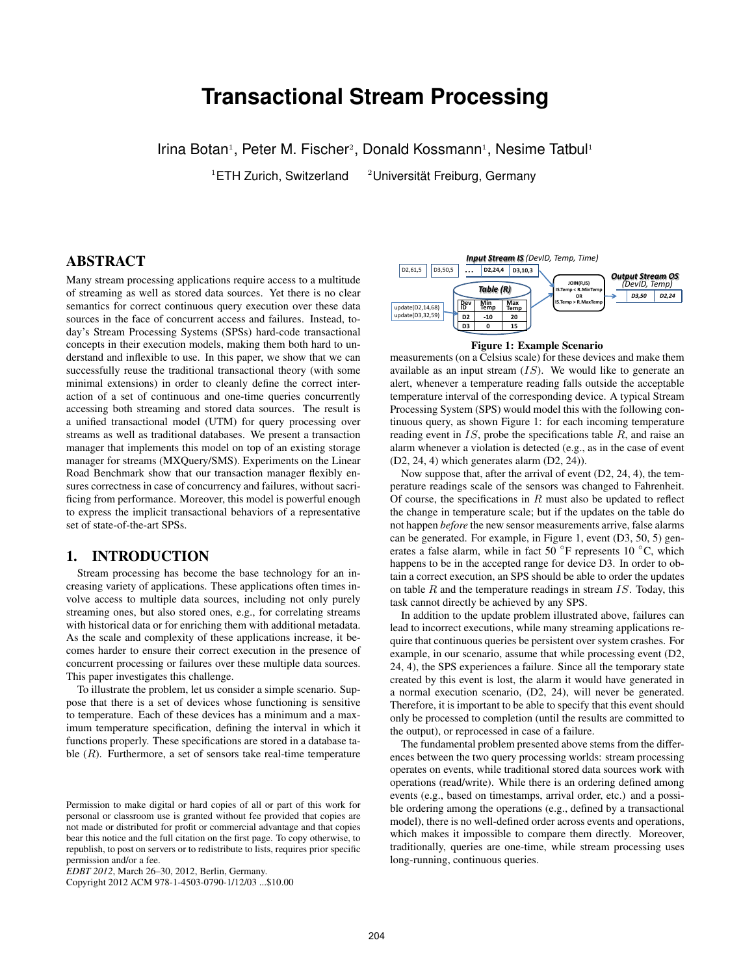# **Transactional Stream Processing**

Irina Botan<sup>1</sup>, Peter M. Fischer<sup>2</sup>, Donald Kossmann<sup>1</sup>, Nesime Tatbul<sup>1</sup>

 $1$ ETH Zurich, Switzerland  $2$ Universität Freiburg, Germany

# ABSTRACT

Many stream processing applications require access to a multitude of streaming as well as stored data sources. Yet there is no clear semantics for correct continuous query execution over these data sources in the face of concurrent access and failures. Instead, today's Stream Processing Systems (SPSs) hard-code transactional concepts in their execution models, making them both hard to understand and inflexible to use. In this paper, we show that we can successfully reuse the traditional transactional theory (with some minimal extensions) in order to cleanly define the correct interaction of a set of continuous and one-time queries concurrently accessing both streaming and stored data sources. The result is a unified transactional model (UTM) for query processing over streams as well as traditional databases. We present a transaction manager that implements this model on top of an existing storage manager for streams (MXQuery/SMS). Experiments on the Linear Road Benchmark show that our transaction manager flexibly ensures correctness in case of concurrency and failures, without sacrificing from performance. Moreover, this model is powerful enough to express the implicit transactional behaviors of a representative set of state-of-the-art SPSs.

# 1. INTRODUCTION

Stream processing has become the base technology for an increasing variety of applications. These applications often times involve access to multiple data sources, including not only purely streaming ones, but also stored ones, e.g., for correlating streams with historical data or for enriching them with additional metadata. As the scale and complexity of these applications increase, it becomes harder to ensure their correct execution in the presence of concurrent processing or failures over these multiple data sources. This paper investigates this challenge.

To illustrate the problem, let us consider a simple scenario. Suppose that there is a set of devices whose functioning is sensitive to temperature. Each of these devices has a minimum and a maximum temperature specification, defining the interval in which it functions properly. These specifications are stored in a database table  $(R)$ . Furthermore, a set of sensors take real-time temperature

Copyright 2012 ACM 978-1-4503-0790-1/12/03 ...\$10.00





measurements (on a Celsius scale) for these devices and make them available as an input stream  $(IS)$ . We would like to generate an alert, whenever a temperature reading falls outside the acceptable temperature interval of the corresponding device. A typical Stream Processing System (SPS) would model this with the following continuous query, as shown Figure 1: for each incoming temperature reading event in  $IS$ , probe the specifications table  $R$ , and raise an alarm whenever a violation is detected (e.g., as in the case of event (D2, 24, 4) which generates alarm (D2, 24)).

Now suppose that, after the arrival of event (D2, 24, 4), the temperature readings scale of the sensors was changed to Fahrenheit. Of course, the specifications in  $R$  must also be updated to reflect the change in temperature scale; but if the updates on the table do not happen *before* the new sensor measurements arrive, false alarms can be generated. For example, in Figure 1, event (D3, 50, 5) generates a false alarm, while in fact 50 °F represents 10 °C, which happens to be in the accepted range for device D3. In order to obtain a correct execution, an SPS should be able to order the updates on table  $R$  and the temperature readings in stream  $IS$ . Today, this task cannot directly be achieved by any SPS.

In addition to the update problem illustrated above, failures can lead to incorrect executions, while many streaming applications require that continuous queries be persistent over system crashes. For example, in our scenario, assume that while processing event (D2, 24, 4), the SPS experiences a failure. Since all the temporary state created by this event is lost, the alarm it would have generated in a normal execution scenario, (D2, 24), will never be generated. Therefore, it is important to be able to specify that this event should only be processed to completion (until the results are committed to the output), or reprocessed in case of a failure.

The fundamental problem presented above stems from the differences between the two query processing worlds: stream processing operates on events, while traditional stored data sources work with operations (read/write). While there is an ordering defined among events (e.g., based on timestamps, arrival order, etc.) and a possible ordering among the operations (e.g., defined by a transactional model), there is no well-defined order across events and operations, which makes it impossible to compare them directly. Moreover, traditionally, queries are one-time, while stream processing uses long-running, continuous queries.

Permission to make digital or hard copies of all or part of this work for personal or classroom use is granted without fee provided that copies are not made or distributed for profit or commercial advantage and that copies bear this notice and the full citation on the first page. To copy otherwise, to republish, to post on servers or to redistribute to lists, requires prior specific permission and/or a fee.

*EDBT 2012*, March 26–30, 2012, Berlin, Germany.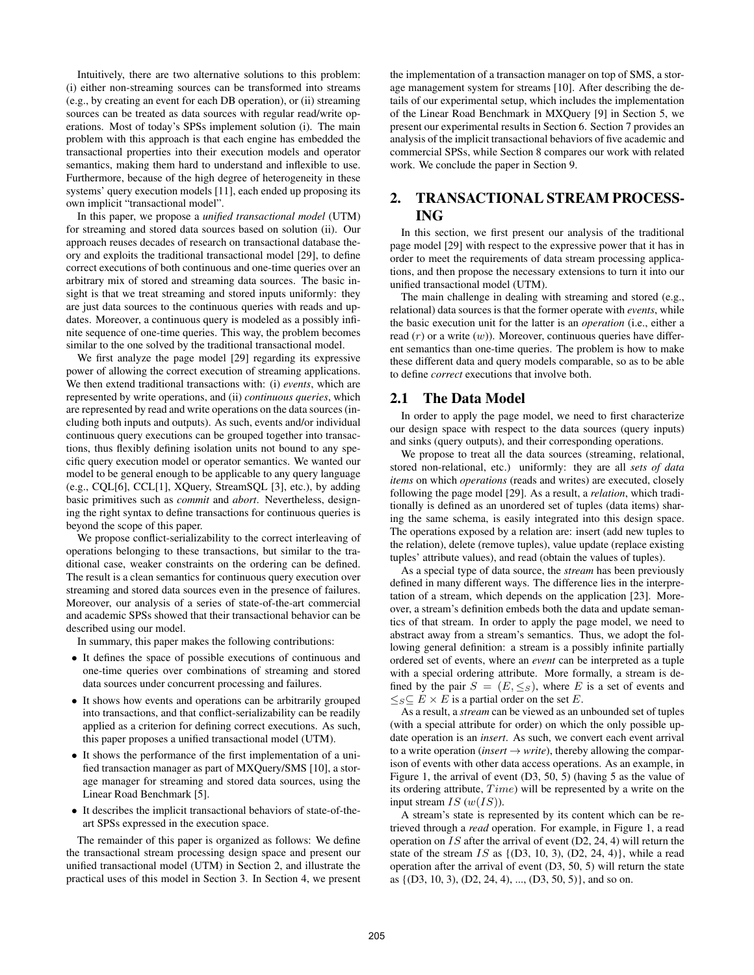Intuitively, there are two alternative solutions to this problem: (i) either non-streaming sources can be transformed into streams (e.g., by creating an event for each DB operation), or (ii) streaming sources can be treated as data sources with regular read/write operations. Most of today's SPSs implement solution (i). The main problem with this approach is that each engine has embedded the transactional properties into their execution models and operator semantics, making them hard to understand and inflexible to use. Furthermore, because of the high degree of heterogeneity in these systems' query execution models [11], each ended up proposing its own implicit "transactional model".

In this paper, we propose a *unified transactional model* (UTM) for streaming and stored data sources based on solution (ii). Our approach reuses decades of research on transactional database theory and exploits the traditional transactional model [29], to define correct executions of both continuous and one-time queries over an arbitrary mix of stored and streaming data sources. The basic insight is that we treat streaming and stored inputs uniformly: they are just data sources to the continuous queries with reads and updates. Moreover, a continuous query is modeled as a possibly infinite sequence of one-time queries. This way, the problem becomes similar to the one solved by the traditional transactional model.

We first analyze the page model [29] regarding its expressive power of allowing the correct execution of streaming applications. We then extend traditional transactions with: (i) *events*, which are represented by write operations, and (ii) *continuous queries*, which are represented by read and write operations on the data sources (including both inputs and outputs). As such, events and/or individual continuous query executions can be grouped together into transactions, thus flexibly defining isolation units not bound to any specific query execution model or operator semantics. We wanted our model to be general enough to be applicable to any query language (e.g., CQL[6], CCL[1], XQuery, StreamSQL [3], etc.), by adding basic primitives such as *commit* and *abort*. Nevertheless, designing the right syntax to define transactions for continuous queries is beyond the scope of this paper.

We propose conflict-serializability to the correct interleaving of operations belonging to these transactions, but similar to the traditional case, weaker constraints on the ordering can be defined. The result is a clean semantics for continuous query execution over streaming and stored data sources even in the presence of failures. Moreover, our analysis of a series of state-of-the-art commercial and academic SPSs showed that their transactional behavior can be described using our model.

In summary, this paper makes the following contributions:

- It defines the space of possible executions of continuous and one-time queries over combinations of streaming and stored data sources under concurrent processing and failures.
- It shows how events and operations can be arbitrarily grouped into transactions, and that conflict-serializability can be readily applied as a criterion for defining correct executions. As such, this paper proposes a unified transactional model (UTM).
- It shows the performance of the first implementation of a unified transaction manager as part of MXQuery/SMS [10], a storage manager for streaming and stored data sources, using the Linear Road Benchmark [5].
- It describes the implicit transactional behaviors of state-of-theart SPSs expressed in the execution space.

The remainder of this paper is organized as follows: We define the transactional stream processing design space and present our unified transactional model (UTM) in Section 2, and illustrate the practical uses of this model in Section 3. In Section 4, we present

the implementation of a transaction manager on top of SMS, a storage management system for streams [10]. After describing the details of our experimental setup, which includes the implementation of the Linear Road Benchmark in MXQuery [9] in Section 5, we present our experimental results in Section 6. Section 7 provides an analysis of the implicit transactional behaviors of five academic and commercial SPSs, while Section 8 compares our work with related work. We conclude the paper in Section 9.

# 2. TRANSACTIONAL STREAM PROCESS-ING

In this section, we first present our analysis of the traditional page model [29] with respect to the expressive power that it has in order to meet the requirements of data stream processing applications, and then propose the necessary extensions to turn it into our unified transactional model (UTM).

The main challenge in dealing with streaming and stored (e.g., relational) data sources is that the former operate with *events*, while the basic execution unit for the latter is an *operation* (i.e., either a read  $(r)$  or a write  $(w)$ ). Moreover, continuous queries have different semantics than one-time queries. The problem is how to make these different data and query models comparable, so as to be able to define *correct* executions that involve both.

## 2.1 The Data Model

In order to apply the page model, we need to first characterize our design space with respect to the data sources (query inputs) and sinks (query outputs), and their corresponding operations.

We propose to treat all the data sources (streaming, relational, stored non-relational, etc.) uniformly: they are all *sets of data items* on which *operations* (reads and writes) are executed, closely following the page model [29]. As a result, a *relation*, which traditionally is defined as an unordered set of tuples (data items) sharing the same schema, is easily integrated into this design space. The operations exposed by a relation are: insert (add new tuples to the relation), delete (remove tuples), value update (replace existing tuples' attribute values), and read (obtain the values of tuples).

As a special type of data source, the *stream* has been previously defined in many different ways. The difference lies in the interpretation of a stream, which depends on the application [23]. Moreover, a stream's definition embeds both the data and update semantics of that stream. In order to apply the page model, we need to abstract away from a stream's semantics. Thus, we adopt the following general definition: a stream is a possibly infinite partially ordered set of events, where an *event* can be interpreted as a tuple with a special ordering attribute. More formally, a stream is defined by the pair  $S = (E, \leq_S)$ , where E is a set of events and  $\leq_S \subseteq E \times E$  is a partial order on the set E.

As a result, a *stream* can be viewed as an unbounded set of tuples (with a special attribute for order) on which the only possible update operation is an *insert*. As such, we convert each event arrival to a write operation (*insert*  $\rightarrow$  *write*), thereby allowing the comparison of events with other data access operations. As an example, in Figure 1, the arrival of event (D3, 50, 5) (having 5 as the value of its ordering attribute,  $Time$ ) will be represented by a write on the input stream  $IS(w(IS))$ .

A stream's state is represented by its content which can be retrieved through a *read* operation. For example, in Figure 1, a read operation on  $IS$  after the arrival of event (D2, 24, 4) will return the state of the stream  $IS$  as  $\{ (D3, 10, 3), (D2, 24, 4) \}$ , while a read operation after the arrival of event (D3, 50, 5) will return the state as {(D3, 10, 3), (D2, 24, 4), ..., (D3, 50, 5)}, and so on.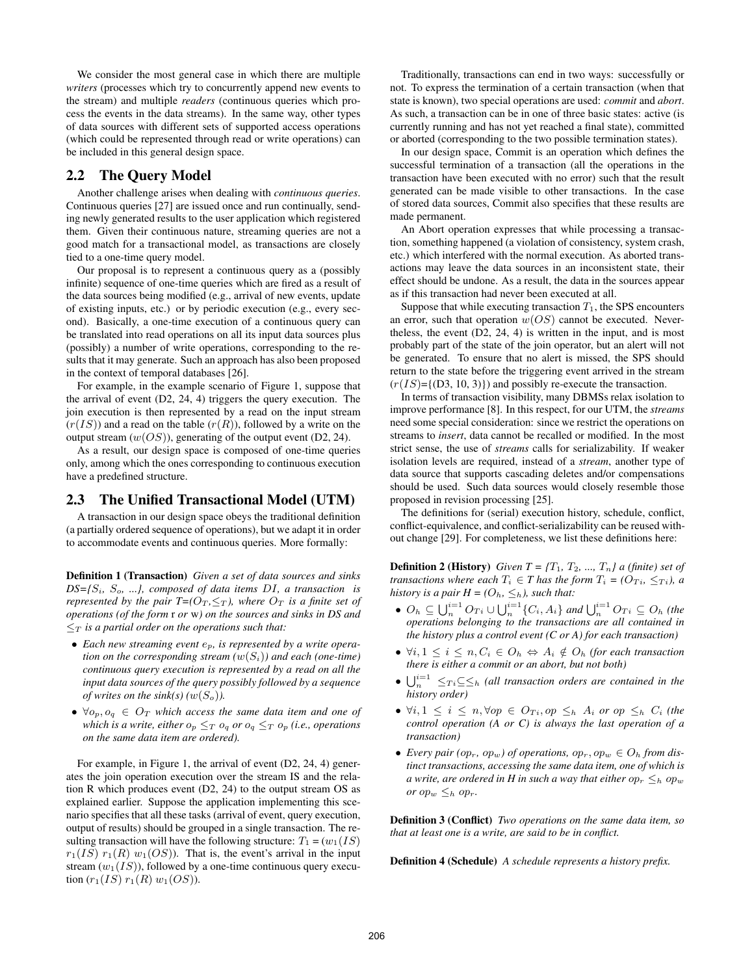We consider the most general case in which there are multiple *writers* (processes which try to concurrently append new events to the stream) and multiple *readers* (continuous queries which process the events in the data streams). In the same way, other types of data sources with different sets of supported access operations (which could be represented through read or write operations) can be included in this general design space.

## 2.2 The Query Model

Another challenge arises when dealing with *continuous queries*. Continuous queries [27] are issued once and run continually, sending newly generated results to the user application which registered them. Given their continuous nature, streaming queries are not a good match for a transactional model, as transactions are closely tied to a one-time query model.

Our proposal is to represent a continuous query as a (possibly infinite) sequence of one-time queries which are fired as a result of the data sources being modified (e.g., arrival of new events, update of existing inputs, etc.) or by periodic execution (e.g., every second). Basically, a one-time execution of a continuous query can be translated into read operations on all its input data sources plus (possibly) a number of write operations, corresponding to the results that it may generate. Such an approach has also been proposed in the context of temporal databases [26].

For example, in the example scenario of Figure 1, suppose that the arrival of event (D2, 24, 4) triggers the query execution. The join execution is then represented by a read on the input stream  $(r(IS))$  and a read on the table  $(r(R))$ , followed by a write on the output stream  $(w(OS))$ , generating of the output event (D2, 24).

As a result, our design space is composed of one-time queries only, among which the ones corresponding to continuous execution have a predefined structure.

## 2.3 The Unified Transactional Model (UTM)

A transaction in our design space obeys the traditional definition (a partially ordered sequence of operations), but we adapt it in order to accommodate events and continuous queries. More formally:

Definition 1 (Transaction) *Given a set of data sources and sinks*  $DS = \{S_i, S_o, \ldots\}$ , composed of data items  $DI$ , a transaction is *represented by the pair T*= $(O_T, \leq_T)$ *, where*  $O_T$  *is a finite set of operations (of the form* r *or* w*) on the sources and sinks in DS and*  $\leq_T$  *is a partial order on the operations such that:* 

- Each new streaming event  $e_p$ , is represented by a write opera*tion on the corresponding stream*  $(w(S_i))$  *and each (one-time) continuous query execution is represented by a read on all the input data sources of the query possibly followed by a sequence of writes on the sink(s)*  $(w(S_o))$ .
- $\forall o_p, o_q \in O_T$  *which access the same data item and one of which is a write, either*  $o_p \leq_T o_q$  *or*  $o_q \leq_T o_p$  *(i.e., operations on the same data item are ordered).*

For example, in Figure 1, the arrival of event (D2, 24, 4) generates the join operation execution over the stream IS and the relation R which produces event (D2, 24) to the output stream OS as explained earlier. Suppose the application implementing this scenario specifies that all these tasks (arrival of event, query execution, output of results) should be grouped in a single transaction. The resulting transaction will have the following structure:  $T_1 = (w_1(IS))$  $r_1(IS)$   $r_1(R)$   $w_1(OS)$ ). That is, the event's arrival in the input stream  $(w_1(IS))$ , followed by a one-time continuous query execution  $(r_1(IS) r_1(R) w_1(OS))$ .

Traditionally, transactions can end in two ways: successfully or not. To express the termination of a certain transaction (when that state is known), two special operations are used: *commit* and *abort*. As such, a transaction can be in one of three basic states: active (is currently running and has not yet reached a final state), committed or aborted (corresponding to the two possible termination states).

In our design space, Commit is an operation which defines the successful termination of a transaction (all the operations in the transaction have been executed with no error) such that the result generated can be made visible to other transactions. In the case of stored data sources, Commit also specifies that these results are made permanent.

An Abort operation expresses that while processing a transaction, something happened (a violation of consistency, system crash, etc.) which interfered with the normal execution. As aborted transactions may leave the data sources in an inconsistent state, their effect should be undone. As a result, the data in the sources appear as if this transaction had never been executed at all.

Suppose that while executing transaction  $T_1$ , the SPS encounters an error, such that operation  $w(OS)$  cannot be executed. Nevertheless, the event (D2, 24, 4) is written in the input, and is most probably part of the state of the join operator, but an alert will not be generated. To ensure that no alert is missed, the SPS should return to the state before the triggering event arrived in the stream  $(r(IS) = \{(D3, 10, 3)\})$  and possibly re-execute the transaction.

In terms of transaction visibility, many DBMSs relax isolation to improve performance [8]. In this respect, for our UTM, the *streams* need some special consideration: since we restrict the operations on streams to *insert*, data cannot be recalled or modified. In the most strict sense, the use of *streams* calls for serializability. If weaker isolation levels are required, instead of a *stream*, another type of data source that supports cascading deletes and/or compensations should be used. Such data sources would closely resemble those proposed in revision processing [25].

The definitions for (serial) execution history, schedule, conflict, conflict-equivalence, and conflict-serializability can be reused without change [29]. For completeness, we list these definitions here:

**Definition 2 (History)** *Given*  $T = {T_1, T_2, ..., T_n}$  *a (finite) set of transactions where each*  $T_i \in T$  *has the form*  $T_i = (O_{Ti}, \leq_{Ti})$ , a *history is a pair*  $H = (O_h, \leq_h)$ *, such that:* 

- $O_h \subseteq \bigcup_n^{i=1} O_{Ti} \cup \bigcup_n^{i=1} \{C_i, A_i\}$  and  $\bigcup_n^{i=1} O_{Ti} \subseteq O_h$  (the *operations belonging to the transactions are all contained in the history plus a control event (C or A) for each transaction)*
- $\forall i, 1 \leq i \leq n, C_i \in O_h \Leftrightarrow A_i \notin O_h$  *(for each transaction*) *there is either a commit or an abort, but not both)*
- $\bigcup_{n=1}^{i=1} \leq T_i \subseteq \leq_h$  *(all transaction orders are contained in the history order)*
- $\forall i, 1 \leq i \leq n, \forall op \in O_{Ti}, op \leq_h A_i$  *or op*  $\leq_h C_i$  (the *control operation (A or C) is always the last operation of a transaction)*
- Every pair  $(op_r, op_w)$  of operations,  $op_r, op_w \in O_h$  from dis*tinct transactions, accessing the same data item, one of which is a* write, are ordered in H in such a way that either  $op_r \leq_h op_w$ *or*  $op_w \leq_h op_r$ .

Definition 3 (Conflict) *Two operations on the same data item, so that at least one is a write, are said to be in conflict.*

Definition 4 (Schedule) *A schedule represents a history prefix.*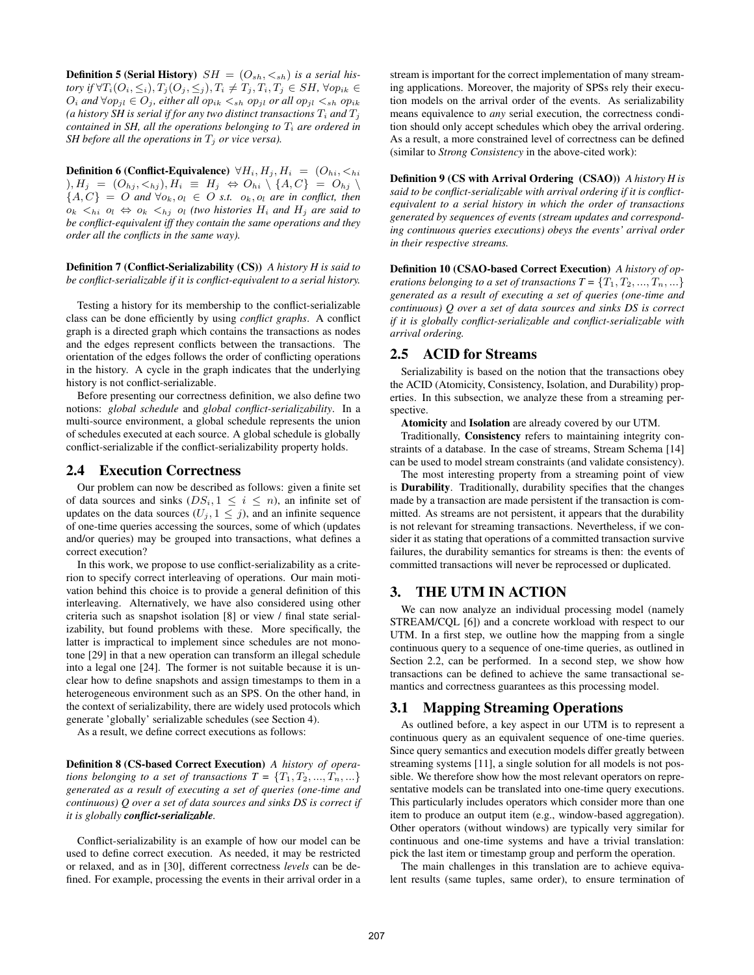**Definition 5 (Serial History)**  $SH = (O_{sh}, \langle s_h \rangle)$  *is a serial history if*  $\forall T_i(O_i, \leq_i), T_j(O_j, \leq_j), T_i \neq T_j, T_i, T_j \in SH$ ,  $\forall op_{ik} \in$  $O_i$  *and*  $\forall op_{jl} \in O_j$ *, either all*  $op_{ik} <_{sh} op_{jl}$  *or all*  $op_{jl} <_{sh} op_{ik}$ (*a history SH is serial if for any two distinct transactions*  $T_i$  *and*  $T_j$ *contained in SH, all the operations belonging to*  $T_i$  *are ordered in SH before all the operations in*  $T_i$  *or vice versa*).

Definition 6 (Conflict-Equivalence)  $\forall H_i, H_j, H_i = (O_{hi}, \langle h_i \rangle)$  $), H_j = (O_{hj}, \langle h_j \rangle, H_i \equiv H_j \Leftrightarrow O_{hi} \setminus \{A, C\} = O_{hj}$  ${A, C} = O$  *and*  $\forall o_k, o_l \in O$  *s.t.*  $o_k, o_l$  *are in conflict, then*  $o_k$  <  $h_i$   $o_l$  ⇔  $o_k$  <  $h_j$   $o_l$  (two histories  $H_i$  and  $H_j$  are said to *be conflict-equivalent iff they contain the same operations and they order all the conflicts in the same way).*

Definition 7 (Conflict-Serializability (CS)) *A history H is said to be conflict-serializable if it is conflict-equivalent to a serial history.*

Testing a history for its membership to the conflict-serializable class can be done efficiently by using *conflict graphs*. A conflict graph is a directed graph which contains the transactions as nodes and the edges represent conflicts between the transactions. The orientation of the edges follows the order of conflicting operations in the history. A cycle in the graph indicates that the underlying history is not conflict-serializable.

Before presenting our correctness definition, we also define two notions: *global schedule* and *global conflict-serializability*. In a multi-source environment, a global schedule represents the union of schedules executed at each source. A global schedule is globally conflict-serializable if the conflict-serializability property holds.

## 2.4 Execution Correctness

Our problem can now be described as follows: given a finite set of data sources and sinks  $(DS_i, 1 \leq i \leq n)$ , an infinite set of updates on the data sources  $(U_j, 1 \leq j)$ , and an infinite sequence of one-time queries accessing the sources, some of which (updates and/or queries) may be grouped into transactions, what defines a correct execution?

In this work, we propose to use conflict-serializability as a criterion to specify correct interleaving of operations. Our main motivation behind this choice is to provide a general definition of this interleaving. Alternatively, we have also considered using other criteria such as snapshot isolation [8] or view / final state serializability, but found problems with these. More specifically, the latter is impractical to implement since schedules are not monotone [29] in that a new operation can transform an illegal schedule into a legal one [24]. The former is not suitable because it is unclear how to define snapshots and assign timestamps to them in a heterogeneous environment such as an SPS. On the other hand, in the context of serializability, there are widely used protocols which generate 'globally' serializable schedules (see Section 4).

As a result, we define correct executions as follows:

Definition 8 (CS-based Correct Execution) *A history of operations belonging to a set of transactions*  $T = \{T_1, T_2, ..., T_n, ...\}$ *generated as a result of executing a set of queries (one-time and continuous) Q over a set of data sources and sinks DS is correct if it is globally conflict-serializable.*

Conflict-serializability is an example of how our model can be used to define correct execution. As needed, it may be restricted or relaxed, and as in [30], different correctness *levels* can be defined. For example, processing the events in their arrival order in a stream is important for the correct implementation of many streaming applications. Moreover, the majority of SPSs rely their execution models on the arrival order of the events. As serializability means equivalence to *any* serial execution, the correctness condition should only accept schedules which obey the arrival ordering. As a result, a more constrained level of correctness can be defined (similar to *Strong Consistency* in the above-cited work):

Definition 9 (CS with Arrival Ordering (CSAO)) *A history H is said to be conflict-serializable with arrival ordering if it is conflictequivalent to a serial history in which the order of transactions generated by sequences of events (stream updates and corresponding continuous queries executions) obeys the events' arrival order in their respective streams.*

Definition 10 (CSAO-based Correct Execution) *A history of operations belonging to a set of transactions T* =  $\{T_1, T_2, ..., T_n, ...\}$ *generated as a result of executing a set of queries (one-time and continuous) Q over a set of data sources and sinks DS is correct if it is globally conflict-serializable and conflict-serializable with arrival ordering.*

## 2.5 ACID for Streams

Serializability is based on the notion that the transactions obey the ACID (Atomicity, Consistency, Isolation, and Durability) properties. In this subsection, we analyze these from a streaming perspective.

Atomicity and Isolation are already covered by our UTM.

Traditionally, Consistency refers to maintaining integrity constraints of a database. In the case of streams, Stream Schema [14] can be used to model stream constraints (and validate consistency).

The most interesting property from a streaming point of view is Durability. Traditionally, durability specifies that the changes made by a transaction are made persistent if the transaction is committed. As streams are not persistent, it appears that the durability is not relevant for streaming transactions. Nevertheless, if we consider it as stating that operations of a committed transaction survive failures, the durability semantics for streams is then: the events of committed transactions will never be reprocessed or duplicated.

## 3. THE UTM IN ACTION

We can now analyze an individual processing model (namely STREAM/CQL [6]) and a concrete workload with respect to our UTM. In a first step, we outline how the mapping from a single continuous query to a sequence of one-time queries, as outlined in Section 2.2, can be performed. In a second step, we show how transactions can be defined to achieve the same transactional semantics and correctness guarantees as this processing model.

## 3.1 Mapping Streaming Operations

As outlined before, a key aspect in our UTM is to represent a continuous query as an equivalent sequence of one-time queries. Since query semantics and execution models differ greatly between streaming systems [11], a single solution for all models is not possible. We therefore show how the most relevant operators on representative models can be translated into one-time query executions. This particularly includes operators which consider more than one item to produce an output item (e.g., window-based aggregation). Other operators (without windows) are typically very similar for continuous and one-time systems and have a trivial translation: pick the last item or timestamp group and perform the operation.

The main challenges in this translation are to achieve equivalent results (same tuples, same order), to ensure termination of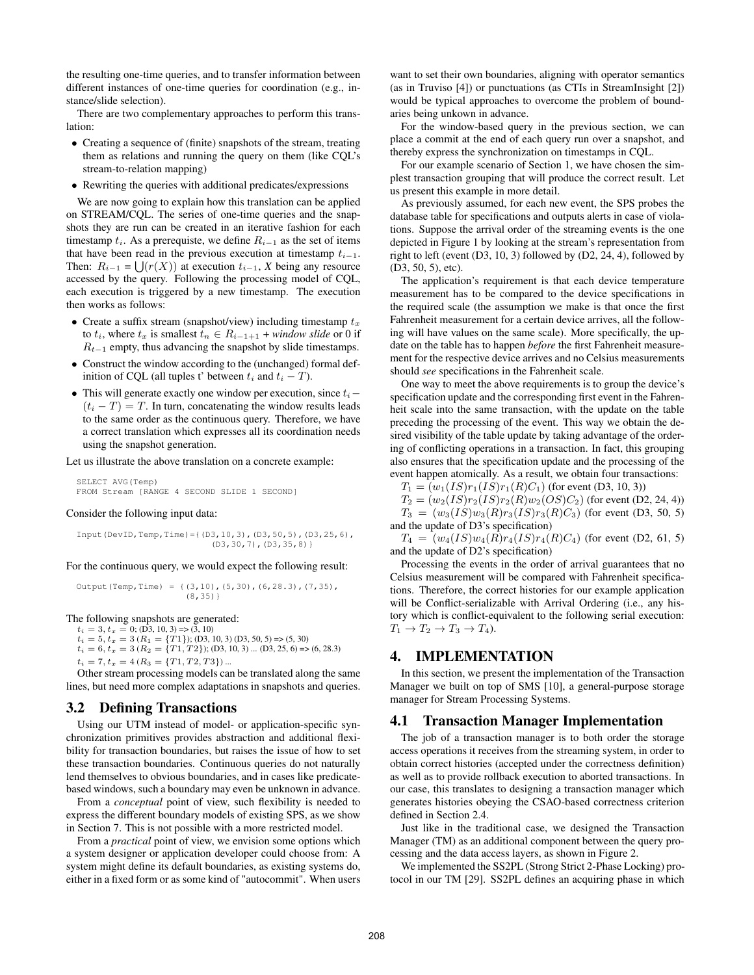the resulting one-time queries, and to transfer information between different instances of one-time queries for coordination (e.g., instance/slide selection).

There are two complementary approaches to perform this translation:

- Creating a sequence of (finite) snapshots of the stream, treating them as relations and running the query on them (like CQL's stream-to-relation mapping)
- Rewriting the queries with additional predicates/expressions

We are now going to explain how this translation can be applied on STREAM/CQL. The series of one-time queries and the snapshots they are run can be created in an iterative fashion for each timestamp  $t_i$ . As a prerequiste, we define  $R_{i-1}$  as the set of items that have been read in the previous execution at timestamp  $t_{i-1}$ . Then:  $R_{i-1} = \bigcup (r(X))$  at execution  $t_{i-1}$ , *X* being any resource accessed by the query. Following the processing model of CQL, each execution is triggered by a new timestamp. The execution then works as follows:

- Create a suffix stream (snapshot/view) including timestamp  $t_x$ to  $t_i$ , where  $t_x$  is smallest  $t_n \in R_{i-1+1}$  + *window slide* or 0 if  $R_{t-1}$  empty, thus advancing the snapshot by slide timestamps.
- Construct the window according to the (unchanged) formal definition of CQL (all tuples t' between  $t_i$  and  $t_i - T$ ).
- This will generate exactly one window per execution, since  $t_i$   $(t_i - T) = T$ . In turn, concatenating the window results leads to the same order as the continuous query. Therefore, we have a correct translation which expresses all its coordination needs using the snapshot generation.

Let us illustrate the above translation on a concrete example:

SELECT AVG(Temp) FROM Stream [RANGE 4 SECOND SLIDE 1 SECOND]

#### Consider the following input data:

Input(DevID, Temp, Time)={(D3,10,3),(D3,50,5),(D3,25,6), (D3,30,7),(D3,35,8)}

For the continuous query, we would expect the following result:

Output(Temp,Time) = { $(3,10)$ , $(5,30)$ , $(6,28.3)$ , $(7,35)$ , (8,35)}

The following snapshots are generated:

 $t_i = 3, t_x = 0; (\overline{D3}, 10, 3) = \langle 3, 10 \rangle$  $t_i = 5, t_x = 3 (R_1 = \{T1\})$ ; (D3, 10, 3) (D3, 50, 5) => (5, 30)  $t_i = 6, t_x = 3 (R_2 = \{T1, T2\})$ ; (D3, 10, 3) ... (D3, 25, 6) => (6, 28.3)  $t_i = 7, t_x = 4 (R_3 = \{T1, T2, T3\})$  ...

Other stream processing models can be translated along the same lines, but need more complex adaptations in snapshots and queries.

#### 3.2 Defining Transactions

Using our UTM instead of model- or application-specific synchronization primitives provides abstraction and additional flexibility for transaction boundaries, but raises the issue of how to set these transaction boundaries. Continuous queries do not naturally lend themselves to obvious boundaries, and in cases like predicatebased windows, such a boundary may even be unknown in advance.

From a *conceptual* point of view, such flexibility is needed to express the different boundary models of existing SPS, as we show in Section 7. This is not possible with a more restricted model.

From a *practical* point of view, we envision some options which a system designer or application developer could choose from: A system might define its default boundaries, as existing systems do, either in a fixed form or as some kind of "autocommit". When users want to set their own boundaries, aligning with operator semantics (as in Truviso [4]) or punctuations (as CTIs in StreamInsight [2]) would be typical approaches to overcome the problem of boundaries being unkown in advance.

For the window-based query in the previous section, we can place a commit at the end of each query run over a snapshot, and thereby express the synchronization on timestamps in CQL.

For our example scenario of Section 1, we have chosen the simplest transaction grouping that will produce the correct result. Let us present this example in more detail.

As previously assumed, for each new event, the SPS probes the database table for specifications and outputs alerts in case of violations. Suppose the arrival order of the streaming events is the one depicted in Figure 1 by looking at the stream's representation from right to left (event (D3, 10, 3) followed by (D2, 24, 4), followed by (D3, 50, 5), etc).

The application's requirement is that each device temperature measurement has to be compared to the device specifications in the required scale (the assumption we make is that once the first Fahrenheit measurement for a certain device arrives, all the following will have values on the same scale). More specifically, the update on the table has to happen *before* the first Fahrenheit measurement for the respective device arrives and no Celsius measurements should *see* specifications in the Fahrenheit scale.

One way to meet the above requirements is to group the device's specification update and the corresponding first event in the Fahrenheit scale into the same transaction, with the update on the table preceding the processing of the event. This way we obtain the desired visibility of the table update by taking advantage of the ordering of conflicting operations in a transaction. In fact, this grouping also ensures that the specification update and the processing of the event happen atomically. As a result, we obtain four transactions:

 $T_1 = (w_1(IS)r_1(IS)r_1(R)C_1)$  (for event (D3, 10, 3))

 $T_2 = (w_2(IS)r_2(IS)r_2(R)w_2(OS)C_2)$  (for event (D2, 24, 4))  $T_3 = (w_3(IS)w_3(R)r_3(IS)r_3(R)C_3)$  (for event (D3, 50, 5) and the update of D3's specification)

 $T_4 = (w_4(IS)w_4(R)r_4(IS)r_4(R)C_4)$  (for event (D2, 61, 5) and the update of D2's specification)

Processing the events in the order of arrival guarantees that no Celsius measurement will be compared with Fahrenheit specifications. Therefore, the correct histories for our example application will be Conflict-serializable with Arrival Ordering (i.e., any history which is conflict-equivalent to the following serial execution:  $T_1 \rightarrow T_2 \rightarrow T_3 \rightarrow T_4$ ).

## 4. IMPLEMENTATION

In this section, we present the implementation of the Transaction Manager we built on top of SMS [10], a general-purpose storage manager for Stream Processing Systems.

### 4.1 Transaction Manager Implementation

The job of a transaction manager is to both order the storage access operations it receives from the streaming system, in order to obtain correct histories (accepted under the correctness definition) as well as to provide rollback execution to aborted transactions. In our case, this translates to designing a transaction manager which generates histories obeying the CSAO-based correctness criterion defined in Section 2.4.

Just like in the traditional case, we designed the Transaction Manager (TM) as an additional component between the query processing and the data access layers, as shown in Figure 2.

We implemented the SS2PL (Strong Strict 2-Phase Locking) protocol in our TM [29]. SS2PL defines an acquiring phase in which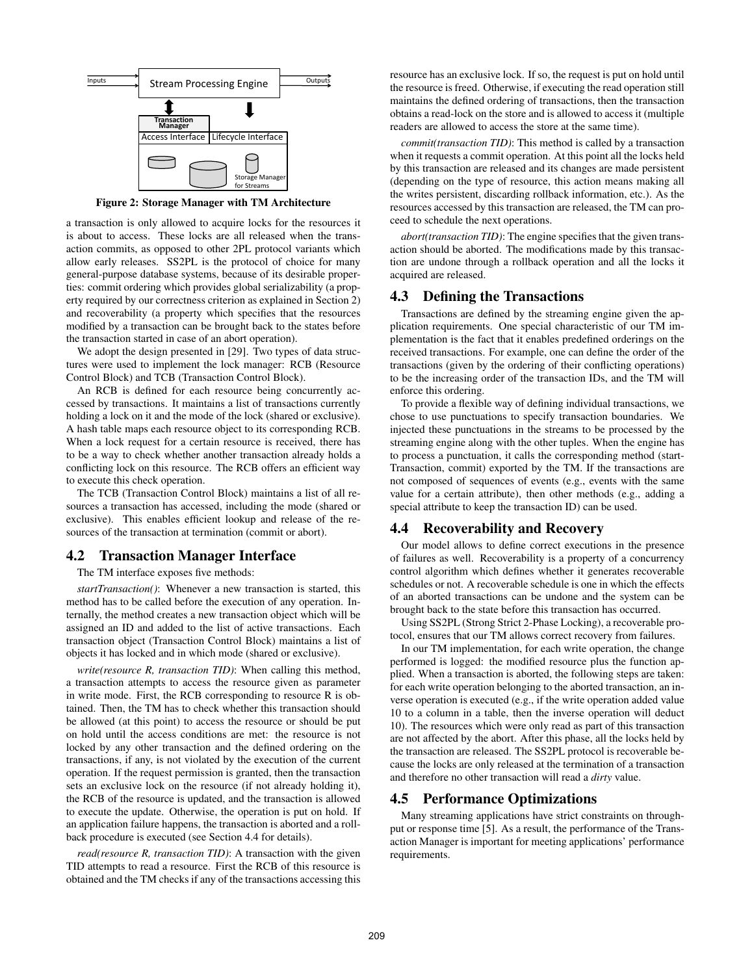

Figure 2: Storage Manager with TM Architecture

a transaction is only allowed to acquire locks for the resources it is about to access. These locks are all released when the transaction commits, as opposed to other 2PL protocol variants which allow early releases. SS2PL is the protocol of choice for many general-purpose database systems, because of its desirable properties: commit ordering which provides global serializability (a property required by our correctness criterion as explained in Section 2) and recoverability (a property which specifies that the resources modified by a transaction can be brought back to the states before the transaction started in case of an abort operation).

We adopt the design presented in [29]. Two types of data structures were used to implement the lock manager: RCB (Resource Control Block) and TCB (Transaction Control Block).

An RCB is defined for each resource being concurrently accessed by transactions. It maintains a list of transactions currently holding a lock on it and the mode of the lock (shared or exclusive). A hash table maps each resource object to its corresponding RCB. When a lock request for a certain resource is received, there has to be a way to check whether another transaction already holds a conflicting lock on this resource. The RCB offers an efficient way to execute this check operation.

The TCB (Transaction Control Block) maintains a list of all resources a transaction has accessed, including the mode (shared or exclusive). This enables efficient lookup and release of the resources of the transaction at termination (commit or abort).

## 4.2 Transaction Manager Interface

The TM interface exposes five methods:

*startTransaction()*: Whenever a new transaction is started, this method has to be called before the execution of any operation. Internally, the method creates a new transaction object which will be assigned an ID and added to the list of active transactions. Each transaction object (Transaction Control Block) maintains a list of objects it has locked and in which mode (shared or exclusive).

*write(resource R, transaction TID)*: When calling this method, a transaction attempts to access the resource given as parameter in write mode. First, the RCB corresponding to resource R is obtained. Then, the TM has to check whether this transaction should be allowed (at this point) to access the resource or should be put on hold until the access conditions are met: the resource is not locked by any other transaction and the defined ordering on the transactions, if any, is not violated by the execution of the current operation. If the request permission is granted, then the transaction sets an exclusive lock on the resource (if not already holding it), the RCB of the resource is updated, and the transaction is allowed to execute the update. Otherwise, the operation is put on hold. If an application failure happens, the transaction is aborted and a rollback procedure is executed (see Section 4.4 for details).

*read(resource R, transaction TID)*: A transaction with the given TID attempts to read a resource. First the RCB of this resource is obtained and the TM checks if any of the transactions accessing this

resource has an exclusive lock. If so, the request is put on hold until the resource is freed. Otherwise, if executing the read operation still maintains the defined ordering of transactions, then the transaction obtains a read-lock on the store and is allowed to access it (multiple readers are allowed to access the store at the same time).

*commit(transaction TID)*: This method is called by a transaction when it requests a commit operation. At this point all the locks held by this transaction are released and its changes are made persistent (depending on the type of resource, this action means making all the writes persistent, discarding rollback information, etc.). As the resources accessed by this transaction are released, the TM can proceed to schedule the next operations.

*abort(transaction TID)*: The engine specifies that the given transaction should be aborted. The modifications made by this transaction are undone through a rollback operation and all the locks it acquired are released.

## 4.3 Defining the Transactions

Transactions are defined by the streaming engine given the application requirements. One special characteristic of our TM implementation is the fact that it enables predefined orderings on the received transactions. For example, one can define the order of the transactions (given by the ordering of their conflicting operations) to be the increasing order of the transaction IDs, and the TM will enforce this ordering.

To provide a flexible way of defining individual transactions, we chose to use punctuations to specify transaction boundaries. We injected these punctuations in the streams to be processed by the streaming engine along with the other tuples. When the engine has to process a punctuation, it calls the corresponding method (start-Transaction, commit) exported by the TM. If the transactions are not composed of sequences of events (e.g., events with the same value for a certain attribute), then other methods (e.g., adding a special attribute to keep the transaction ID) can be used.

## 4.4 Recoverability and Recovery

Our model allows to define correct executions in the presence of failures as well. Recoverability is a property of a concurrency control algorithm which defines whether it generates recoverable schedules or not. A recoverable schedule is one in which the effects of an aborted transactions can be undone and the system can be brought back to the state before this transaction has occurred.

Using SS2PL (Strong Strict 2-Phase Locking), a recoverable protocol, ensures that our TM allows correct recovery from failures.

In our TM implementation, for each write operation, the change performed is logged: the modified resource plus the function applied. When a transaction is aborted, the following steps are taken: for each write operation belonging to the aborted transaction, an inverse operation is executed (e.g., if the write operation added value 10 to a column in a table, then the inverse operation will deduct 10). The resources which were only read as part of this transaction are not affected by the abort. After this phase, all the locks held by the transaction are released. The SS2PL protocol is recoverable because the locks are only released at the termination of a transaction and therefore no other transaction will read a *dirty* value.

#### 4.5 Performance Optimizations

Many streaming applications have strict constraints on throughput or response time [5]. As a result, the performance of the Transaction Manager is important for meeting applications' performance requirements.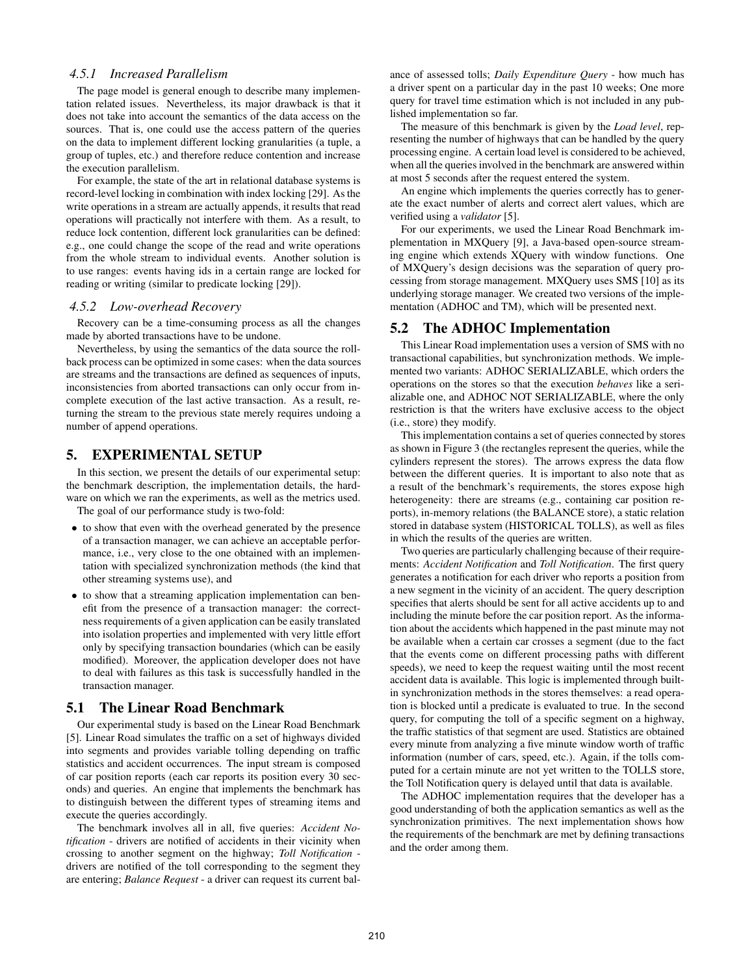### *4.5.1 Increased Parallelism*

The page model is general enough to describe many implementation related issues. Nevertheless, its major drawback is that it does not take into account the semantics of the data access on the sources. That is, one could use the access pattern of the queries on the data to implement different locking granularities (a tuple, a group of tuples, etc.) and therefore reduce contention and increase the execution parallelism.

For example, the state of the art in relational database systems is record-level locking in combination with index locking [29]. As the write operations in a stream are actually appends, it results that read operations will practically not interfere with them. As a result, to reduce lock contention, different lock granularities can be defined: e.g., one could change the scope of the read and write operations from the whole stream to individual events. Another solution is to use ranges: events having ids in a certain range are locked for reading or writing (similar to predicate locking [29]).

#### *4.5.2 Low-overhead Recovery*

Recovery can be a time-consuming process as all the changes made by aborted transactions have to be undone.

Nevertheless, by using the semantics of the data source the rollback process can be optimized in some cases: when the data sources are streams and the transactions are defined as sequences of inputs, inconsistencies from aborted transactions can only occur from incomplete execution of the last active transaction. As a result, returning the stream to the previous state merely requires undoing a number of append operations.

# 5. EXPERIMENTAL SETUP

In this section, we present the details of our experimental setup: the benchmark description, the implementation details, the hardware on which we ran the experiments, as well as the metrics used. The goal of our performance study is two-fold:

- to show that even with the overhead generated by the presence of a transaction manager, we can achieve an acceptable performance, i.e., very close to the one obtained with an implementation with specialized synchronization methods (the kind that other streaming systems use), and
- to show that a streaming application implementation can benefit from the presence of a transaction manager: the correctness requirements of a given application can be easily translated into isolation properties and implemented with very little effort only by specifying transaction boundaries (which can be easily modified). Moreover, the application developer does not have to deal with failures as this task is successfully handled in the transaction manager.

#### 5.1 The Linear Road Benchmark

Our experimental study is based on the Linear Road Benchmark [5]. Linear Road simulates the traffic on a set of highways divided into segments and provides variable tolling depending on traffic statistics and accident occurrences. The input stream is composed of car position reports (each car reports its position every 30 seconds) and queries. An engine that implements the benchmark has to distinguish between the different types of streaming items and execute the queries accordingly.

The benchmark involves all in all, five queries: *Accident Notification* - drivers are notified of accidents in their vicinity when crossing to another segment on the highway; *Toll Notification* drivers are notified of the toll corresponding to the segment they are entering; *Balance Request* - a driver can request its current balance of assessed tolls; *Daily Expenditure Query* - how much has a driver spent on a particular day in the past 10 weeks; One more query for travel time estimation which is not included in any published implementation so far.

The measure of this benchmark is given by the *Load level*, representing the number of highways that can be handled by the query processing engine. A certain load level is considered to be achieved, when all the queries involved in the benchmark are answered within at most 5 seconds after the request entered the system.

An engine which implements the queries correctly has to generate the exact number of alerts and correct alert values, which are verified using a *validator* [5].

For our experiments, we used the Linear Road Benchmark implementation in MXQuery [9], a Java-based open-source streaming engine which extends XQuery with window functions. One of MXQuery's design decisions was the separation of query processing from storage management. MXQuery uses SMS [10] as its underlying storage manager. We created two versions of the implementation (ADHOC and TM), which will be presented next.

#### 5.2 The ADHOC Implementation

This Linear Road implementation uses a version of SMS with no transactional capabilities, but synchronization methods. We implemented two variants: ADHOC SERIALIZABLE, which orders the operations on the stores so that the execution *behaves* like a serializable one, and ADHOC NOT SERIALIZABLE, where the only restriction is that the writers have exclusive access to the object (i.e., store) they modify.

This implementation contains a set of queries connected by stores as shown in Figure 3 (the rectangles represent the queries, while the cylinders represent the stores). The arrows express the data flow between the different queries. It is important to also note that as a result of the benchmark's requirements, the stores expose high heterogeneity: there are streams (e.g., containing car position reports), in-memory relations (the BALANCE store), a static relation stored in database system (HISTORICAL TOLLS), as well as files in which the results of the queries are written.

Two queries are particularly challenging because of their requirements: *Accident Notification* and *Toll Notification*. The first query generates a notification for each driver who reports a position from a new segment in the vicinity of an accident. The query description specifies that alerts should be sent for all active accidents up to and including the minute before the car position report. As the information about the accidents which happened in the past minute may not be available when a certain car crosses a segment (due to the fact that the events come on different processing paths with different speeds), we need to keep the request waiting until the most recent accident data is available. This logic is implemented through builtin synchronization methods in the stores themselves: a read operation is blocked until a predicate is evaluated to true. In the second query, for computing the toll of a specific segment on a highway, the traffic statistics of that segment are used. Statistics are obtained every minute from analyzing a five minute window worth of traffic information (number of cars, speed, etc.). Again, if the tolls computed for a certain minute are not yet written to the TOLLS store, the Toll Notification query is delayed until that data is available.

The ADHOC implementation requires that the developer has a good understanding of both the application semantics as well as the synchronization primitives. The next implementation shows how the requirements of the benchmark are met by defining transactions and the order among them.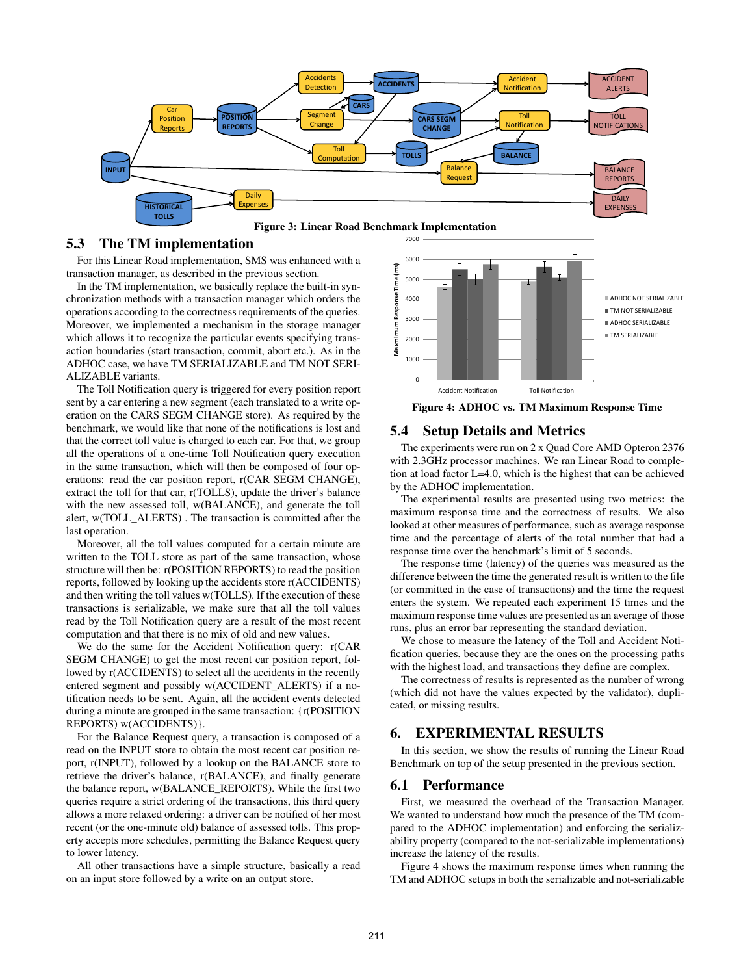



For this Linear Road implementation, SMS was enhanced with a transaction manager, as described in the previous section.

In the TM implementation, we basically replace the built-in synchronization methods with a transaction manager which orders the operations according to the correctness requirements of the queries. Moreover, we implemented a mechanism in the storage manager which allows it to recognize the particular events specifying transaction boundaries (start transaction, commit, abort etc.). As in the ADHOC case, we have TM SERIALIZABLE and TM NOT SERI-ALIZABLE variants.

The Toll Notification query is triggered for every position report sent by a car entering a new segment (each translated to a write operation on the CARS SEGM CHANGE store). As required by the benchmark, we would like that none of the notifications is lost and that the correct toll value is charged to each car. For that, we group all the operations of a one-time Toll Notification query execution in the same transaction, which will then be composed of four operations: read the car position report, r(CAR SEGM CHANGE), extract the toll for that car, r(TOLLS), update the driver's balance with the new assessed toll, w(BALANCE), and generate the toll alert, w(TOLL\_ALERTS) . The transaction is committed after the last operation.

Moreover, all the toll values computed for a certain minute are written to the TOLL store as part of the same transaction, whose structure will then be: r(POSITION REPORTS) to read the position reports, followed by looking up the accidents store r(ACCIDENTS) and then writing the toll values w(TOLLS). If the execution of these transactions is serializable, we make sure that all the toll values read by the Toll Notification query are a result of the most recent computation and that there is no mix of old and new values.

We do the same for the Accident Notification query: r(CAR SEGM CHANGE) to get the most recent car position report, followed by r(ACCIDENTS) to select all the accidents in the recently entered segment and possibly w(ACCIDENT\_ALERTS) if a notification needs to be sent. Again, all the accident events detected during a minute are grouped in the same transaction: {r(POSITION REPORTS) w(ACCIDENTS)}.

For the Balance Request query, a transaction is composed of a read on the INPUT store to obtain the most recent car position report, r(INPUT), followed by a lookup on the BALANCE store to retrieve the driver's balance, r(BALANCE), and finally generate the balance report, w(BALANCE\_REPORTS). While the first two queries require a strict ordering of the transactions, this third query allows a more relaxed ordering: a driver can be notified of her most recent (or the one-minute old) balance of assessed tolls. This property accepts more schedules, permitting the Balance Request query to lower latency.

All other transactions have a simple structure, basically a read on an input store followed by a write on an output store.



Figure 4: ADHOC vs. TM Maximum Response Time

## 5.4 Setup Details and Metrics

The experiments were run on 2 x Quad Core AMD Opteron 2376 with 2.3GHz processor machines. We ran Linear Road to completion at load factor L=4.0, which is the highest that can be achieved by the ADHOC implementation.

The experimental results are presented using two metrics: the maximum response time and the correctness of results. We also looked at other measures of performance, such as average response time and the percentage of alerts of the total number that had a response time over the benchmark's limit of 5 seconds.

The response time (latency) of the queries was measured as the difference between the time the generated result is written to the file (or committed in the case of transactions) and the time the request enters the system. We repeated each experiment 15 times and the maximum response time values are presented as an average of those runs, plus an error bar representing the standard deviation.

We chose to measure the latency of the Toll and Accident Notification queries, because they are the ones on the processing paths with the highest load, and transactions they define are complex.

The correctness of results is represented as the number of wrong (which did not have the values expected by the validator), duplicated, or missing results.

## 6. EXPERIMENTAL RESULTS

In this section, we show the results of running the Linear Road Benchmark on top of the setup presented in the previous section.

## 6.1 Performance

First, we measured the overhead of the Transaction Manager. We wanted to understand how much the presence of the TM (compared to the ADHOC implementation) and enforcing the serializability property (compared to the not-serializable implementations) increase the latency of the results.

Figure 4 shows the maximum response times when running the TM and ADHOC setups in both the serializable and not-serializable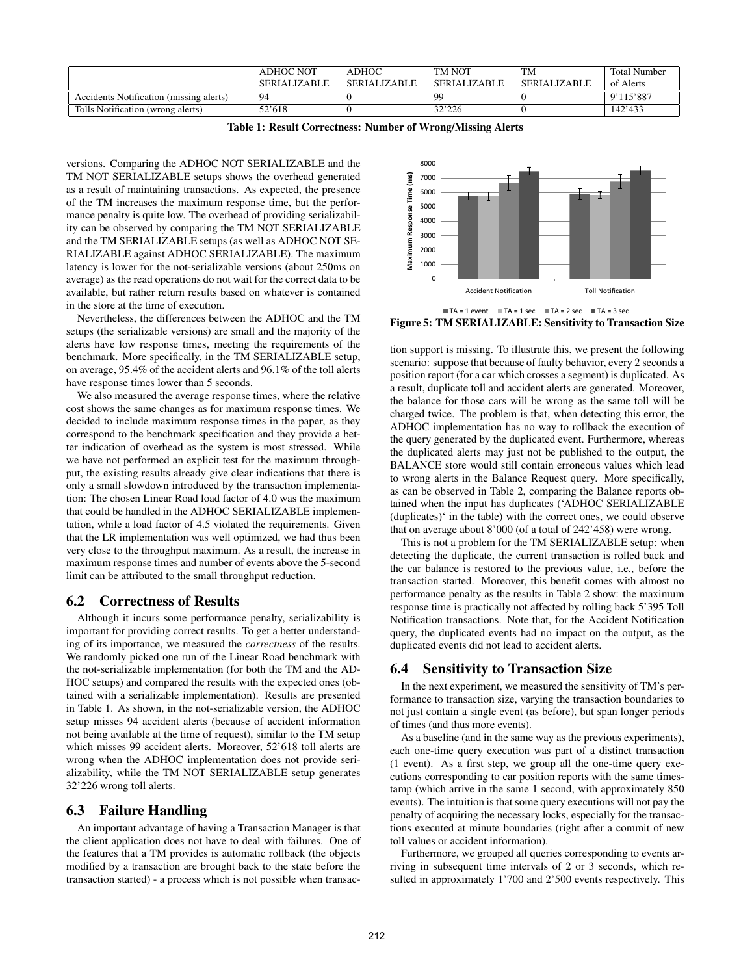|                                         | ADHOC NOT<br><b>SERIALIZABLE</b> | <b>ADHOC</b><br><b>SERIALIZABLE</b> | TM NOT<br>SERIALIZABLE | TM<br><b>SERIALIZABLE</b> | <b>Total Number</b><br>of Alerts |
|-----------------------------------------|----------------------------------|-------------------------------------|------------------------|---------------------------|----------------------------------|
| Accidents Notification (missing alerts) | -94                              |                                     | 99                     |                           | 9'115'887                        |
| Tolls Notification (wrong alerts)       | 52'618                           |                                     | 32'226                 |                           | 142'433                          |

Table 1: Result Correctness: Number of Wrong/Missing Alerts

versions. Comparing the ADHOC NOT SERIALIZABLE and the TM NOT SERIALIZABLE setups shows the overhead generated as a result of maintaining transactions. As expected, the presence of the TM increases the maximum response time, but the performance penalty is quite low. The overhead of providing serializability can be observed by comparing the TM NOT SERIALIZABLE and the TM SERIALIZABLE setups (as well as ADHOC NOT SE-RIALIZABLE against ADHOC SERIALIZABLE). The maximum latency is lower for the not-serializable versions (about 250ms on average) as the read operations do not wait for the correct data to be available, but rather return results based on whatever is contained in the store at the time of execution.

Nevertheless, the differences between the ADHOC and the TM setups (the serializable versions) are small and the majority of the alerts have low response times, meeting the requirements of the benchmark. More specifically, in the TM SERIALIZABLE setup, on average, 95.4% of the accident alerts and 96.1% of the toll alerts have response times lower than 5 seconds.

We also measured the average response times, where the relative cost shows the same changes as for maximum response times. We decided to include maximum response times in the paper, as they correspond to the benchmark specification and they provide a better indication of overhead as the system is most stressed. While we have not performed an explicit test for the maximum throughput, the existing results already give clear indications that there is only a small slowdown introduced by the transaction implementation: The chosen Linear Road load factor of 4.0 was the maximum that could be handled in the ADHOC SERIALIZABLE implementation, while a load factor of 4.5 violated the requirements. Given that the LR implementation was well optimized, we had thus been very close to the throughput maximum. As a result, the increase in maximum response times and number of events above the 5-second limit can be attributed to the small throughput reduction.

## 6.2 Correctness of Results

Although it incurs some performance penalty, serializability is important for providing correct results. To get a better understanding of its importance, we measured the *correctness* of the results. We randomly picked one run of the Linear Road benchmark with the not-serializable implementation (for both the TM and the AD-HOC setups) and compared the results with the expected ones (obtained with a serializable implementation). Results are presented in Table 1. As shown, in the not-serializable version, the ADHOC setup misses 94 accident alerts (because of accident information not being available at the time of request), similar to the TM setup which misses 99 accident alerts. Moreover, 52'618 toll alerts are wrong when the ADHOC implementation does not provide serializability, while the TM NOT SERIALIZABLE setup generates 32'226 wrong toll alerts.

## 6.3 Failure Handling

An important advantage of having a Transaction Manager is that the client application does not have to deal with failures. One of the features that a TM provides is automatic rollback (the objects modified by a transaction are brought back to the state before the transaction started) - a process which is not possible when transac-



Figure 5: TM SERIALIZABLE: Sensitivity to Transaction Size

tion support is missing. To illustrate this, we present the following scenario: suppose that because of faulty behavior, every 2 seconds a position report (for a car which crosses a segment) is duplicated. As a result, duplicate toll and accident alerts are generated. Moreover, the balance for those cars will be wrong as the same toll will be charged twice. The problem is that, when detecting this error, the ADHOC implementation has no way to rollback the execution of the query generated by the duplicated event. Furthermore, whereas the duplicated alerts may just not be published to the output, the BALANCE store would still contain erroneous values which lead to wrong alerts in the Balance Request query. More specifically, as can be observed in Table 2, comparing the Balance reports obtained when the input has duplicates ('ADHOC SERIALIZABLE (duplicates)' in the table) with the correct ones, we could observe that on average about 8'000 (of a total of 242'458) were wrong.

This is not a problem for the TM SERIALIZABLE setup: when detecting the duplicate, the current transaction is rolled back and the car balance is restored to the previous value, i.e., before the transaction started. Moreover, this benefit comes with almost no performance penalty as the results in Table 2 show: the maximum response time is practically not affected by rolling back 5'395 Toll Notification transactions. Note that, for the Accident Notification query, the duplicated events had no impact on the output, as the duplicated events did not lead to accident alerts.

## 6.4 Sensitivity to Transaction Size

In the next experiment, we measured the sensitivity of TM's performance to transaction size, varying the transaction boundaries to not just contain a single event (as before), but span longer periods of times (and thus more events).

As a baseline (and in the same way as the previous experiments), each one-time query execution was part of a distinct transaction (1 event). As a first step, we group all the one-time query executions corresponding to car position reports with the same timestamp (which arrive in the same 1 second, with approximately 850 events). The intuition is that some query executions will not pay the penalty of acquiring the necessary locks, especially for the transactions executed at minute boundaries (right after a commit of new toll values or accident information).

Furthermore, we grouped all queries corresponding to events arriving in subsequent time intervals of 2 or 3 seconds, which resulted in approximately 1'700 and 2'500 events respectively. This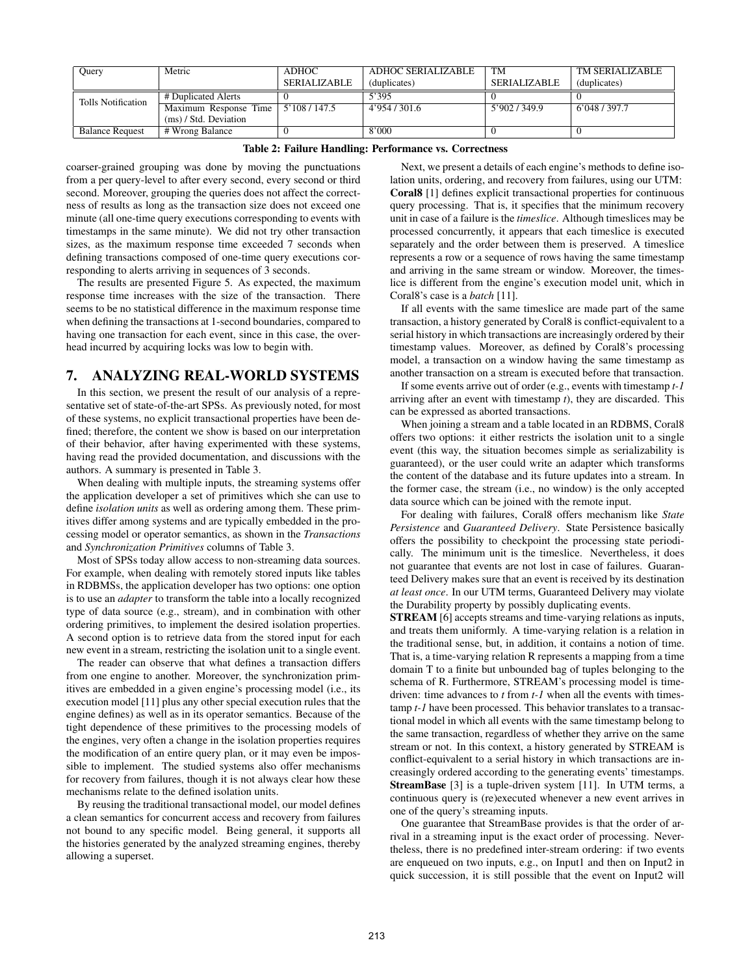| Ouery                  | Metric                                          | <b>ADHOC</b>        | <b>ADHOC SERIALIZABLE</b> | TМ                  | TM SERIALIZABLE |
|------------------------|-------------------------------------------------|---------------------|---------------------------|---------------------|-----------------|
|                        |                                                 | <b>SERIALIZABLE</b> | (duplicates)              | <b>SERIALIZABLE</b> | (duplicates)    |
| Tolls Notification     | # Duplicated Alerts                             |                     | 5'395                     |                     |                 |
|                        | Maximum Response Time $\vert 5'108/147.5 \vert$ |                     | 4'954/301.6               | 5'902/349.9         | 6'048 / 397.7   |
|                        | (ms) / Std. Deviation                           |                     |                           |                     |                 |
| <b>Balance Request</b> | # Wrong Balance                                 |                     | 8'000                     |                     |                 |

Table 2: Failure Handling: Performance vs. Correctness

coarser-grained grouping was done by moving the punctuations from a per query-level to after every second, every second or third second. Moreover, grouping the queries does not affect the correctness of results as long as the transaction size does not exceed one minute (all one-time query executions corresponding to events with timestamps in the same minute). We did not try other transaction sizes, as the maximum response time exceeded 7 seconds when defining transactions composed of one-time query executions corresponding to alerts arriving in sequences of 3 seconds.

The results are presented Figure 5. As expected, the maximum response time increases with the size of the transaction. There seems to be no statistical difference in the maximum response time when defining the transactions at 1-second boundaries, compared to having one transaction for each event, since in this case, the overhead incurred by acquiring locks was low to begin with.

# 7. ANALYZING REAL-WORLD SYSTEMS

In this section, we present the result of our analysis of a representative set of state-of-the-art SPSs. As previously noted, for most of these systems, no explicit transactional properties have been defined; therefore, the content we show is based on our interpretation of their behavior, after having experimented with these systems, having read the provided documentation, and discussions with the authors. A summary is presented in Table 3.

When dealing with multiple inputs, the streaming systems offer the application developer a set of primitives which she can use to define *isolation units* as well as ordering among them. These primitives differ among systems and are typically embedded in the processing model or operator semantics, as shown in the *Transactions* and *Synchronization Primitives* columns of Table 3.

Most of SPSs today allow access to non-streaming data sources. For example, when dealing with remotely stored inputs like tables in RDBMSs, the application developer has two options: one option is to use an *adapter* to transform the table into a locally recognized type of data source (e.g., stream), and in combination with other ordering primitives, to implement the desired isolation properties. A second option is to retrieve data from the stored input for each new event in a stream, restricting the isolation unit to a single event.

The reader can observe that what defines a transaction differs from one engine to another. Moreover, the synchronization primitives are embedded in a given engine's processing model (i.e., its execution model [11] plus any other special execution rules that the engine defines) as well as in its operator semantics. Because of the tight dependence of these primitives to the processing models of the engines, very often a change in the isolation properties requires the modification of an entire query plan, or it may even be impossible to implement. The studied systems also offer mechanisms for recovery from failures, though it is not always clear how these mechanisms relate to the defined isolation units.

By reusing the traditional transactional model, our model defines a clean semantics for concurrent access and recovery from failures not bound to any specific model. Being general, it supports all the histories generated by the analyzed streaming engines, thereby allowing a superset.

Next, we present a details of each engine's methods to define isolation units, ordering, and recovery from failures, using our UTM: Coral8 [1] defines explicit transactional properties for continuous query processing. That is, it specifies that the minimum recovery unit in case of a failure is the *timeslice*. Although timeslices may be processed concurrently, it appears that each timeslice is executed separately and the order between them is preserved. A timeslice represents a row or a sequence of rows having the same timestamp and arriving in the same stream or window. Moreover, the timeslice is different from the engine's execution model unit, which in Coral8's case is a *batch* [11].

If all events with the same timeslice are made part of the same transaction, a history generated by Coral8 is conflict-equivalent to a serial history in which transactions are increasingly ordered by their timestamp values. Moreover, as defined by Coral8's processing model, a transaction on a window having the same timestamp as another transaction on a stream is executed before that transaction.

If some events arrive out of order (e.g., events with timestamp *t-1* arriving after an event with timestamp *t*), they are discarded. This can be expressed as aborted transactions.

When joining a stream and a table located in an RDBMS, Coral8 offers two options: it either restricts the isolation unit to a single event (this way, the situation becomes simple as serializability is guaranteed), or the user could write an adapter which transforms the content of the database and its future updates into a stream. In the former case, the stream (i.e., no window) is the only accepted data source which can be joined with the remote input.

For dealing with failures, Coral8 offers mechanism like *State Persistence* and *Guaranteed Delivery*. State Persistence basically offers the possibility to checkpoint the processing state periodically. The minimum unit is the timeslice. Nevertheless, it does not guarantee that events are not lost in case of failures. Guaranteed Delivery makes sure that an event is received by its destination *at least once*. In our UTM terms, Guaranteed Delivery may violate the Durability property by possibly duplicating events.

STREAM [6] accepts streams and time-varying relations as inputs, and treats them uniformly. A time-varying relation is a relation in the traditional sense, but, in addition, it contains a notion of time. That is, a time-varying relation R represents a mapping from a time domain T to a finite but unbounded bag of tuples belonging to the schema of R. Furthermore, STREAM's processing model is timedriven: time advances to *t* from *t-1* when all the events with timestamp *t-1* have been processed. This behavior translates to a transactional model in which all events with the same timestamp belong to the same transaction, regardless of whether they arrive on the same stream or not. In this context, a history generated by STREAM is conflict-equivalent to a serial history in which transactions are increasingly ordered according to the generating events' timestamps. StreamBase [3] is a tuple-driven system [11]. In UTM terms, a continuous query is (re)executed whenever a new event arrives in one of the query's streaming inputs.

One guarantee that StreamBase provides is that the order of arrival in a streaming input is the exact order of processing. Nevertheless, there is no predefined inter-stream ordering: if two events are enqueued on two inputs, e.g., on Input1 and then on Input2 in quick succession, it is still possible that the event on Input2 will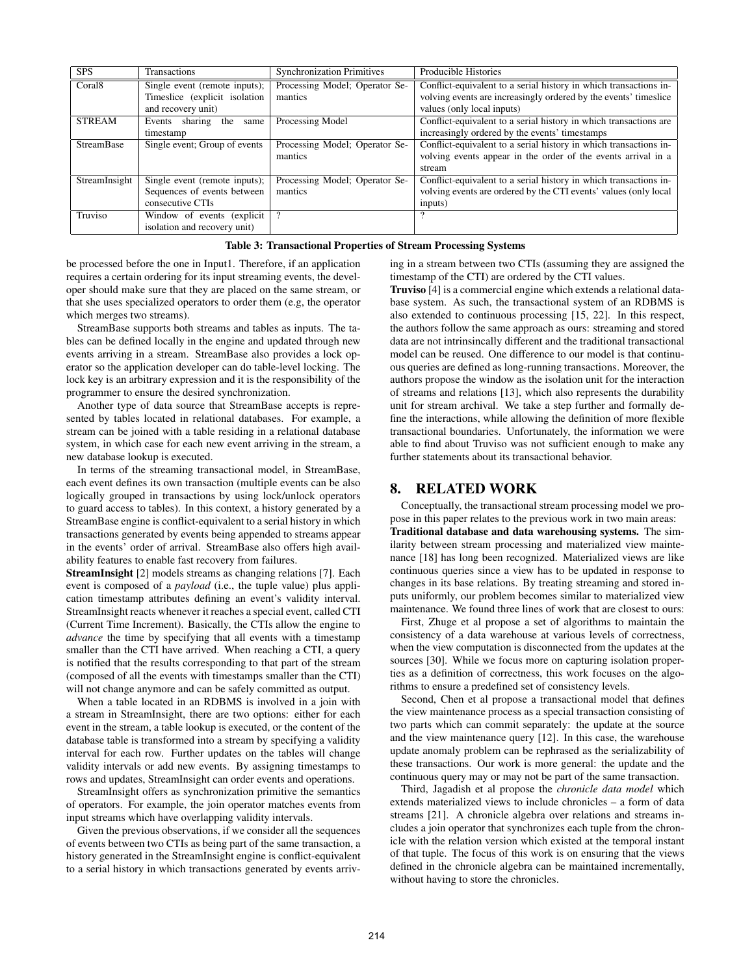| <b>SPS</b>         | Transactions                  | <b>Synchronization Primitives</b> | Producible Histories                                              |
|--------------------|-------------------------------|-----------------------------------|-------------------------------------------------------------------|
| Coral <sub>8</sub> | Single event (remote inputs); | Processing Model; Operator Se-    | Conflict-equivalent to a serial history in which transactions in- |
|                    | Timeslice (explicit isolation | mantics                           | volving events are increasingly ordered by the events' timeslice  |
|                    | and recovery unit)            |                                   | values (only local inputs)                                        |
| <b>STREAM</b>      | Events sharing<br>the<br>same | Processing Model                  | Conflict-equivalent to a serial history in which transactions are |
|                    | timestamp                     |                                   | increasingly ordered by the events' timestamps                    |
| <b>StreamBase</b>  | Single event; Group of events | Processing Model; Operator Se-    | Conflict-equivalent to a serial history in which transactions in- |
|                    |                               | mantics                           | volving events appear in the order of the events arrival in a     |
|                    |                               |                                   | stream                                                            |
| StreamInsight      | Single event (remote inputs); | Processing Model; Operator Se-    | Conflict-equivalent to a serial history in which transactions in- |
|                    | Sequences of events between   | mantics                           | volving events are ordered by the CTI events' values (only local  |
|                    | consecutive CTIs              |                                   | inputs)                                                           |
| Truviso            | Window of events (explicit)   | $\gamma$                          |                                                                   |
|                    | isolation and recovery unit)  |                                   |                                                                   |

Table 3: Transactional Properties of Stream Processing Systems

be processed before the one in Input1. Therefore, if an application requires a certain ordering for its input streaming events, the developer should make sure that they are placed on the same stream, or that she uses specialized operators to order them (e.g, the operator which merges two streams).

StreamBase supports both streams and tables as inputs. The tables can be defined locally in the engine and updated through new events arriving in a stream. StreamBase also provides a lock operator so the application developer can do table-level locking. The lock key is an arbitrary expression and it is the responsibility of the programmer to ensure the desired synchronization.

Another type of data source that StreamBase accepts is represented by tables located in relational databases. For example, a stream can be joined with a table residing in a relational database system, in which case for each new event arriving in the stream, a new database lookup is executed.

In terms of the streaming transactional model, in StreamBase, each event defines its own transaction (multiple events can be also logically grouped in transactions by using lock/unlock operators to guard access to tables). In this context, a history generated by a StreamBase engine is conflict-equivalent to a serial history in which transactions generated by events being appended to streams appear in the events' order of arrival. StreamBase also offers high availability features to enable fast recovery from failures.

StreamInsight [2] models streams as changing relations [7]. Each event is composed of a *payload* (i.e., the tuple value) plus application timestamp attributes defining an event's validity interval. StreamInsight reacts whenever it reaches a special event, called CTI (Current Time Increment). Basically, the CTIs allow the engine to *advance* the time by specifying that all events with a timestamp smaller than the CTI have arrived. When reaching a CTI, a query is notified that the results corresponding to that part of the stream (composed of all the events with timestamps smaller than the CTI) will not change anymore and can be safely committed as output.

When a table located in an RDBMS is involved in a join with a stream in StreamInsight, there are two options: either for each event in the stream, a table lookup is executed, or the content of the database table is transformed into a stream by specifying a validity interval for each row. Further updates on the tables will change validity intervals or add new events. By assigning timestamps to rows and updates, StreamInsight can order events and operations.

StreamInsight offers as synchronization primitive the semantics of operators. For example, the join operator matches events from input streams which have overlapping validity intervals.

Given the previous observations, if we consider all the sequences of events between two CTIs as being part of the same transaction, a history generated in the StreamInsight engine is conflict-equivalent to a serial history in which transactions generated by events arriving in a stream between two CTIs (assuming they are assigned the timestamp of the CTI) are ordered by the CTI values.

Truviso [4] is a commercial engine which extends a relational database system. As such, the transactional system of an RDBMS is also extended to continuous processing [15, 22]. In this respect, the authors follow the same approach as ours: streaming and stored data are not intrinsincally different and the traditional transactional model can be reused. One difference to our model is that continuous queries are defined as long-running transactions. Moreover, the authors propose the window as the isolation unit for the interaction of streams and relations [13], which also represents the durability unit for stream archival. We take a step further and formally define the interactions, while allowing the definition of more flexible transactional boundaries. Unfortunately, the information we were able to find about Truviso was not sufficient enough to make any further statements about its transactional behavior.

# 8. RELATED WORK

Conceptually, the transactional stream processing model we propose in this paper relates to the previous work in two main areas: Traditional database and data warehousing systems. The similarity between stream processing and materialized view maintenance [18] has long been recognized. Materialized views are like continuous queries since a view has to be updated in response to changes in its base relations. By treating streaming and stored inputs uniformly, our problem becomes similar to materialized view maintenance. We found three lines of work that are closest to ours:

First, Zhuge et al propose a set of algorithms to maintain the consistency of a data warehouse at various levels of correctness, when the view computation is disconnected from the updates at the sources [30]. While we focus more on capturing isolation properties as a definition of correctness, this work focuses on the algorithms to ensure a predefined set of consistency levels.

Second, Chen et al propose a transactional model that defines the view maintenance process as a special transaction consisting of two parts which can commit separately: the update at the source and the view maintenance query [12]. In this case, the warehouse update anomaly problem can be rephrased as the serializability of these transactions. Our work is more general: the update and the continuous query may or may not be part of the same transaction.

Third, Jagadish et al propose the *chronicle data model* which extends materialized views to include chronicles – a form of data streams [21]. A chronicle algebra over relations and streams includes a join operator that synchronizes each tuple from the chronicle with the relation version which existed at the temporal instant of that tuple. The focus of this work is on ensuring that the views defined in the chronicle algebra can be maintained incrementally, without having to store the chronicles.